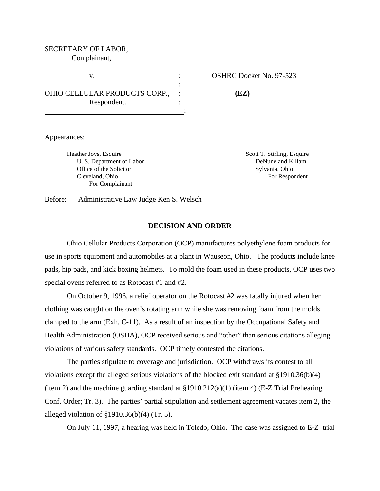## SECRETARY OF LABOR, Complainant,

OHIO CELLULAR PRODUCTS CORP., : **(EZ)** Respondent. :

v. Solution of the COSHRC Docket No. 97-523

Appearances:

Heather Joys, Esquire Scott T. Stirling, Esquire Scott T. Stirling, Esquire U. S. Department of Labor DeNune and Killam Office of the Solicitor Sylvania, Ohio Cleveland, Ohio For Respondent For Complainant

Before: Administrative Law Judge Ken S. Welsch

#### **DECISION AND ORDER**

:

Ohio Cellular Products Corporation (OCP) manufactures polyethylene foam products for use in sports equipment and automobiles at a plant in Wauseon, Ohio. The products include knee pads, hip pads, and kick boxing helmets. To mold the foam used in these products, OCP uses two special ovens referred to as Rotocast #1 and #2.

On October 9, 1996, a relief operator on the Rotocast #2 was fatally injured when her clothing was caught on the oven's rotating arm while she was removing foam from the molds clamped to the arm (Exh. C-11). As a result of an inspection by the Occupational Safety and Health Administration (OSHA), OCP received serious and "other" than serious citations alleging violations of various safety standards. OCP timely contested the citations.

The parties stipulate to coverage and jurisdiction. OCP withdraws its contest to all violations except the alleged serious violations of the blocked exit standard at §1910.36(b)(4) (item 2) and the machine guarding standard at §1910.212(a)(1) (item 4) (E-Z Trial Prehearing Conf. Order; Tr. 3). The parties' partial stipulation and settlement agreement vacates item 2, the alleged violation of  $\S 1910.36(b)(4)$  (Tr. 5).

On July 11, 1997, a hearing was held in Toledo, Ohio. The case was assigned to E-Z trial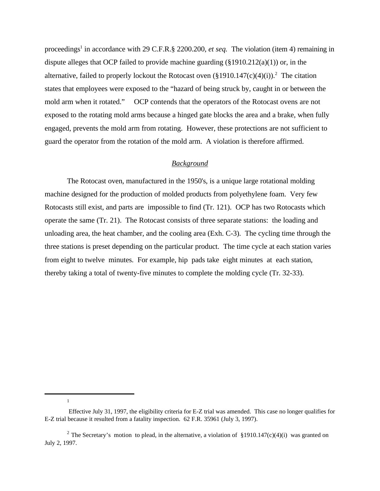proceedings<sup>1</sup> in accordance with 29 C.F.R.§ 2200.200, *et seq.* The violation (item 4) remaining in dispute alleges that OCP failed to provide machine guarding  $(\S 1910.212(a)(1))$  or, in the alternative, failed to properly lockout the Rotocast oven  $(\S1910.147(c)(4)(i))$ .<sup>2</sup> The citation states that employees were exposed to the "hazard of being struck by, caught in or between the mold arm when it rotated." OCP contends that the operators of the Rotocast ovens are not exposed to the rotating mold arms because a hinged gate blocks the area and a brake, when fully engaged, prevents the mold arm from rotating. However, these protections are not sufficient to guard the operator from the rotation of the mold arm. A violation is therefore affirmed.

### *Background*

The Rotocast oven, manufactured in the 1950's, is a unique large rotational molding machine designed for the production of molded products from polyethylene foam. Very few Rotocasts still exist, and parts are impossible to find (Tr. 121). OCP has two Rotocasts which operate the same (Tr. 21). The Rotocast consists of three separate stations: the loading and unloading area, the heat chamber, and the cooling area (Exh. C-3). The cycling time through the three stations is preset depending on the particular product. The time cycle at each station varies from eight to twelve minutes. For example, hip pads take eight minutes at each station, thereby taking a total of twenty-five minutes to complete the molding cycle (Tr. 32-33).

<sup>1</sup>

Effective July 31, 1997, the eligibility criteria for E-Z trial was amended. This case no longer qualifies for E-Z trial because it resulted from a fatality inspection. 62 F.R. 35961 (July 3, 1997).

<sup>&</sup>lt;sup>2</sup> The Secretary's motion to plead, in the alternative, a violation of §1910.147(c)(4)(i) was granted on July 2, 1997.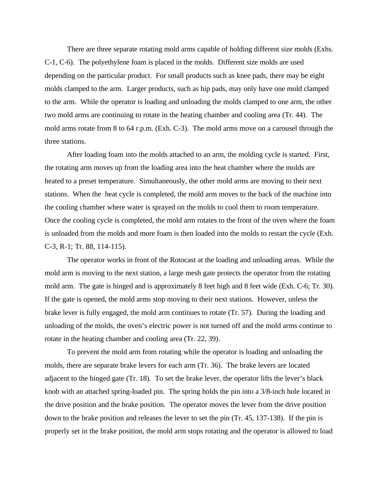There are three separate rotating mold arms capable of holding different size molds (Exhs. C-1, C-6). The polyethylene foam is placed in the molds. Different size molds are used depending on the particular product. For small products such as knee pads, there may be eight molds clamped to the arm. Larger products, such as hip pads, may only have one mold clamped to the arm. While the operator is loading and unloading the molds clamped to one arm, the other two mold arms are continuing to rotate in the heating chamber and cooling area (Tr. 44). The mold arms rotate from 8 to 64 r.p.m. (Exh. C-3). The mold arms move on a carousel through the three stations.

After loading foam into the molds attached to an arm, the molding cycle is started. First, the rotating arm moves up from the loading area into the heat chamber where the molds are heated to a preset temperature. Simultaneously, the other mold arms are moving to their next stations. When the heat cycle is completed, the mold arm moves to the back of the machine into the cooling chamber where water is sprayed on the molds to cool them to room temperature. Once the cooling cycle is completed, the mold arm rotates to the front of the oven where the foam is unloaded from the molds and more foam is then loaded into the molds to restart the cycle (Exh. C-3, R-1; Tr. 88, 114-115).

The operator works in front of the Rotocast at the loading and unloading areas. While the mold arm is moving to the next station, a large mesh gate protects the operator from the rotating mold arm. The gate is hinged and is approximately 8 feet high and 8 feet wide (Exh. C-6; Tr. 30). If the gate is opened, the mold arms stop moving to their next stations. However, unless the brake lever is fully engaged, the mold arm continues to rotate (Tr. 57). During the loading and unloading of the molds, the oven's electric power is not turned off and the mold arms continue to rotate in the heating chamber and cooling area (Tr. 22, 39).

To prevent the mold arm from rotating while the operator is loading and unloading the molds, there are separate brake levers for each arm (Tr. 36). The brake levers are located adjacent to the hinged gate (Tr. 18). To set the brake lever, the operator lifts the lever's black knob with an attached spring-loaded pin. The spring holds the pin into a 3/8-inch hole located in the drive position and the brake position. The operator moves the lever from the drive position down to the brake position and releases the lever to set the pin (Tr. 45, 137-138). If the pin is properly set in the brake position, the mold arm stops rotating and the operator is allowed to load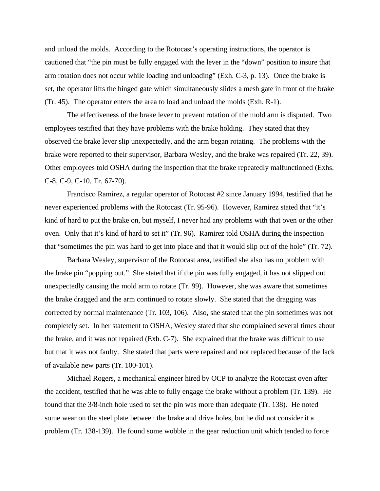and unload the molds. According to the Rotocast's operating instructions, the operator is cautioned that "the pin must be fully engaged with the lever in the "down" position to insure that arm rotation does not occur while loading and unloading" (Exh. C-3, p. 13). Once the brake is set, the operator lifts the hinged gate which simultaneously slides a mesh gate in front of the brake (Tr. 45). The operator enters the area to load and unload the molds (Exh. R-1).

The effectiveness of the brake lever to prevent rotation of the mold arm is disputed. Two employees testified that they have problems with the brake holding. They stated that they observed the brake lever slip unexpectedly, and the arm began rotating. The problems with the brake were reported to their supervisor, Barbara Wesley, and the brake was repaired (Tr. 22, 39). Other employees told OSHA during the inspection that the brake repeatedly malfunctioned (Exhs. C-8, C-9, C-10, Tr. 67-70).

Francisco Ramirez, a regular operator of Rotocast #2 since January 1994, testified that he never experienced problems with the Rotocast (Tr. 95-96). However, Ramirez stated that "it's kind of hard to put the brake on, but myself, I never had any problems with that oven or the other oven. Only that it's kind of hard to set it" (Tr. 96). Ramirez told OSHA during the inspection that "sometimes the pin was hard to get into place and that it would slip out of the hole" (Tr. 72).

Barbara Wesley, supervisor of the Rotocast area, testified she also has no problem with the brake pin "popping out." She stated that if the pin was fully engaged, it has not slipped out unexpectedly causing the mold arm to rotate (Tr. 99). However, she was aware that sometimes the brake dragged and the arm continued to rotate slowly. She stated that the dragging was corrected by normal maintenance (Tr. 103, 106). Also, she stated that the pin sometimes was not completely set. In her statement to OSHA, Wesley stated that she complained several times about the brake, and it was not repaired (Exh. C-7). She explained that the brake was difficult to use but that it was not faulty. She stated that parts were repaired and not replaced because of the lack of available new parts (Tr. 100-101).

Michael Rogers, a mechanical engineer hired by OCP to analyze the Rotocast oven after the accident, testified that he was able to fully engage the brake without a problem (Tr. 139). He found that the 3/8-inch hole used to set the pin was more than adequate (Tr. 138). He noted some wear on the steel plate between the brake and drive holes, but he did not consider it a problem (Tr. 138-139). He found some wobble in the gear reduction unit which tended to force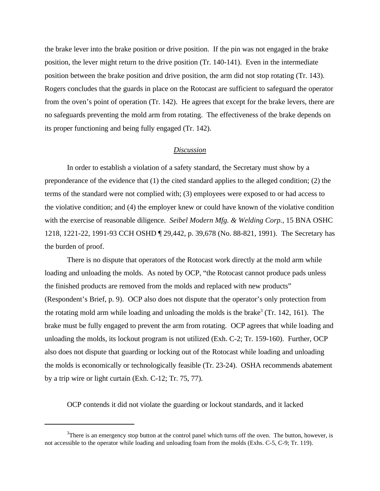the brake lever into the brake position or drive position. If the pin was not engaged in the brake position, the lever might return to the drive position (Tr. 140-141). Even in the intermediate position between the brake position and drive position, the arm did not stop rotating (Tr. 143). Rogers concludes that the guards in place on the Rotocast are sufficient to safeguard the operator from the oven's point of operation (Tr. 142). He agrees that except for the brake levers, there are no safeguards preventing the mold arm from rotating. The effectiveness of the brake depends on its proper functioning and being fully engaged (Tr. 142).

### *Discussion*

In order to establish a violation of a safety standard, the Secretary must show by a preponderance of the evidence that (1) the cited standard applies to the alleged condition; (2) the terms of the standard were not complied with; (3) employees were exposed to or had access to the violative condition; and (4) the employer knew or could have known of the violative condition with the exercise of reasonable diligence. *Seibel Modern Mfg. & Welding Corp.*, 15 BNA OSHC 1218, 1221-22, 1991-93 CCH OSHD ¶ 29,442, p. 39,678 (No. 88-821, 1991). The Secretary has the burden of proof.

There is no dispute that operators of the Rotocast work directly at the mold arm while loading and unloading the molds. As noted by OCP, "the Rotocast cannot produce pads unless the finished products are removed from the molds and replaced with new products" (Respondent's Brief, p. 9). OCP also does not dispute that the operator's only protection from the rotating mold arm while loading and unloading the molds is the brake<sup>3</sup> (Tr. 142, 161). The brake must be fully engaged to prevent the arm from rotating. OCP agrees that while loading and unloading the molds, its lockout program is not utilized (Exh. C-2; Tr. 159-160). Further, OCP also does not dispute that guarding or locking out of the Rotocast while loading and unloading the molds is economically or technologically feasible (Tr. 23-24). OSHA recommends abatement by a trip wire or light curtain (Exh. C-12; Tr. 75, 77).

OCP contends it did not violate the guarding or lockout standards, and it lacked

 $3$ There is an emergency stop button at the control panel which turns off the oven. The button, however, is not accessible to the operator while loading and unloading foam from the molds (Exhs. C-5, C-9; Tr. 119).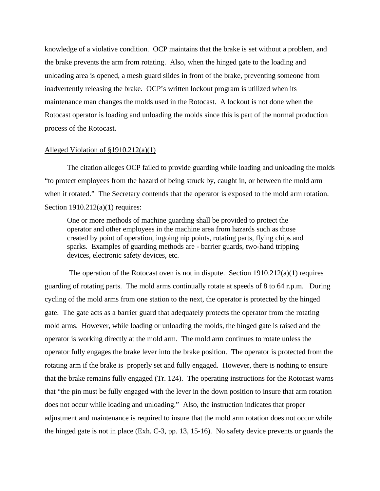knowledge of a violative condition. OCP maintains that the brake is set without a problem, and the brake prevents the arm from rotating. Also, when the hinged gate to the loading and unloading area is opened, a mesh guard slides in front of the brake, preventing someone from inadvertently releasing the brake. OCP's written lockout program is utilized when its maintenance man changes the molds used in the Rotocast. A lockout is not done when the Rotocast operator is loading and unloading the molds since this is part of the normal production process of the Rotocast.

#### Alleged Violation of §1910.212(a)(1)

The citation alleges OCP failed to provide guarding while loading and unloading the molds "to protect employees from the hazard of being struck by, caught in, or between the mold arm when it rotated." The Secretary contends that the operator is exposed to the mold arm rotation. Section 1910.212(a)(1) requires:

One or more methods of machine guarding shall be provided to protect the operator and other employees in the machine area from hazards such as those created by point of operation, ingoing nip points, rotating parts, flying chips and sparks. Examples of guarding methods are - barrier guards, two-hand tripping devices, electronic safety devices, etc.

 The operation of the Rotocast oven is not in dispute. Section 1910.212(a)(1) requires guarding of rotating parts. The mold arms continually rotate at speeds of 8 to 64 r.p.m. During cycling of the mold arms from one station to the next, the operator is protected by the hinged gate. The gate acts as a barrier guard that adequately protects the operator from the rotating mold arms. However, while loading or unloading the molds, the hinged gate is raised and the operator is working directly at the mold arm. The mold arm continues to rotate unless the operator fully engages the brake lever into the brake position. The operator is protected from the rotating arm if the brake is properly set and fully engaged. However, there is nothing to ensure that the brake remains fully engaged (Tr. 124). The operating instructions for the Rotocast warns that "the pin must be fully engaged with the lever in the down position to insure that arm rotation does not occur while loading and unloading." Also, the instruction indicates that proper adjustment and maintenance is required to insure that the mold arm rotation does not occur while the hinged gate is not in place (Exh. C-3, pp. 13, 15-16). No safety device prevents or guards the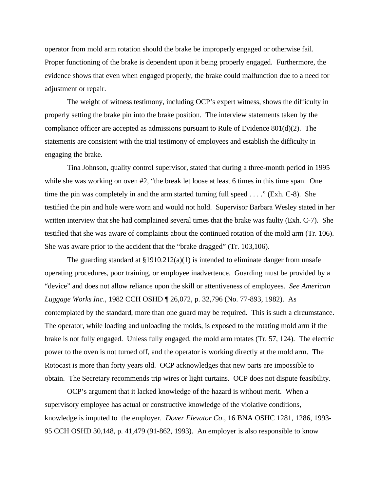operator from mold arm rotation should the brake be improperly engaged or otherwise fail. Proper functioning of the brake is dependent upon it being properly engaged. Furthermore, the evidence shows that even when engaged properly, the brake could malfunction due to a need for adjustment or repair.

The weight of witness testimony, including OCP's expert witness, shows the difficulty in properly setting the brake pin into the brake position. The interview statements taken by the compliance officer are accepted as admissions pursuant to Rule of Evidence 801(d)(2). The statements are consistent with the trial testimony of employees and establish the difficulty in engaging the brake.

Tina Johnson, quality control supervisor, stated that during a three-month period in 1995 while she was working on oven #2, "the break let loose at least 6 times in this time span. One time the pin was completely in and the arm started turning full speed . . . ." (Exh. C-8). She testified the pin and hole were worn and would not hold. Supervisor Barbara Wesley stated in her written interview that she had complained several times that the brake was faulty (Exh. C-7). She testified that she was aware of complaints about the continued rotation of the mold arm (Tr. 106). She was aware prior to the accident that the "brake dragged" (Tr. 103,106).

The guarding standard at  $\S 1910.212(a)(1)$  is intended to eliminate danger from unsafe operating procedures, poor training, or employee inadvertence. Guarding must be provided by a "device" and does not allow reliance upon the skill or attentiveness of employees. *See American Luggage Works Inc*., 1982 CCH OSHD ¶ 26,072, p. 32,796 (No. 77-893, 1982). As contemplated by the standard, more than one guard may be required. This is such a circumstance. The operator, while loading and unloading the molds, is exposed to the rotating mold arm if the brake is not fully engaged. Unless fully engaged, the mold arm rotates (Tr. 57, 124). The electric power to the oven is not turned off, and the operator is working directly at the mold arm. The Rotocast is more than forty years old. OCP acknowledges that new parts are impossible to obtain. The Secretary recommends trip wires or light curtains. OCP does not dispute feasibility.

OCP's argument that it lacked knowledge of the hazard is without merit. When a supervisory employee has actual or constructive knowledge of the violative conditions, knowledge is imputed to the employer. *Dover Elevator Co*., 16 BNA OSHC 1281, 1286, 1993- 95 CCH OSHD 30,148, p. 41,479 (91-862, 1993). An employer is also responsible to know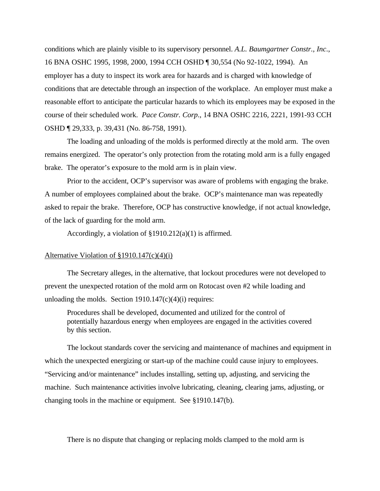conditions which are plainly visible to its supervisory personnel. *A.L. Baumgartner Constr., Inc*., 16 BNA OSHC 1995, 1998, 2000, 1994 CCH OSHD ¶ 30,554 (No 92-1022, 1994). An employer has a duty to inspect its work area for hazards and is charged with knowledge of conditions that are detectable through an inspection of the workplace. An employer must make a reasonable effort to anticipate the particular hazards to which its employees may be exposed in the course of their scheduled work. *Pace Constr. Corp*., 14 BNA OSHC 2216, 2221, 1991-93 CCH OSHD ¶ 29,333, p. 39,431 (No. 86-758, 1991).

The loading and unloading of the molds is performed directly at the mold arm. The oven remains energized. The operator's only protection from the rotating mold arm is a fully engaged brake. The operator's exposure to the mold arm is in plain view.

Prior to the accident, OCP's supervisor was aware of problems with engaging the brake. A number of employees complained about the brake. OCP's maintenance man was repeatedly asked to repair the brake. Therefore, OCP has constructive knowledge, if not actual knowledge, of the lack of guarding for the mold arm.

Accordingly, a violation of §1910.212(a)(1) is affirmed.

### Alternative Violation of §1910.147(c)(4)(i)

The Secretary alleges, in the alternative, that lockout procedures were not developed to prevent the unexpected rotation of the mold arm on Rotocast oven #2 while loading and unloading the molds. Section  $1910.147(c)(4)(i)$  requires:

Procedures shall be developed, documented and utilized for the control of potentially hazardous energy when employees are engaged in the activities covered by this section.

The lockout standards cover the servicing and maintenance of machines and equipment in which the unexpected energizing or start-up of the machine could cause injury to employees. "Servicing and/or maintenance" includes installing, setting up, adjusting, and servicing the machine. Such maintenance activities involve lubricating, cleaning, clearing jams, adjusting, or changing tools in the machine or equipment. See §1910.147(b).

There is no dispute that changing or replacing molds clamped to the mold arm is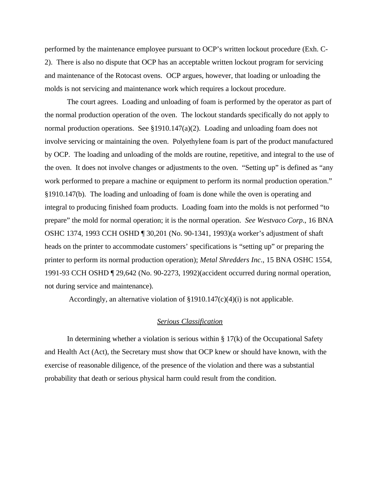performed by the maintenance employee pursuant to OCP's written lockout procedure (Exh. C-2). There is also no dispute that OCP has an acceptable written lockout program for servicing and maintenance of the Rotocast ovens. OCP argues, however, that loading or unloading the molds is not servicing and maintenance work which requires a lockout procedure.

The court agrees. Loading and unloading of foam is performed by the operator as part of the normal production operation of the oven. The lockout standards specifically do not apply to normal production operations. See §1910.147(a)(2). Loading and unloading foam does not involve servicing or maintaining the oven. Polyethylene foam is part of the product manufactured by OCP. The loading and unloading of the molds are routine, repetitive, and integral to the use of the oven. It does not involve changes or adjustments to the oven. "Setting up" is defined as "any work performed to prepare a machine or equipment to perform its normal production operation." §1910.147(b). The loading and unloading of foam is done while the oven is operating and integral to producing finished foam products. Loading foam into the molds is not performed "to prepare" the mold for normal operation; it is the normal operation. *See Westvaco Corp*., 16 BNA OSHC 1374, 1993 CCH OSHD ¶ 30,201 (No. 90-1341, 1993)(a worker's adjustment of shaft heads on the printer to accommodate customers' specifications is "setting up" or preparing the printer to perform its normal production operation); *Metal Shredders Inc*., 15 BNA OSHC 1554, 1991-93 CCH OSHD ¶ 29,642 (No. 90-2273, 1992)(accident occurred during normal operation, not during service and maintenance).

Accordingly, an alternative violation of §1910.147(c)(4)(i) is not applicable.

## *Serious Classification*

In determining whether a violation is serious within  $\S 17(k)$  of the Occupational Safety and Health Act (Act), the Secretary must show that OCP knew or should have known, with the exercise of reasonable diligence, of the presence of the violation and there was a substantial probability that death or serious physical harm could result from the condition.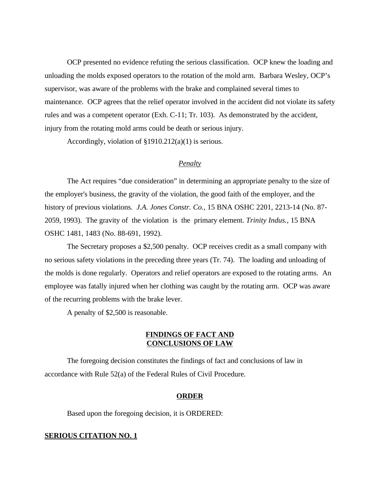OCP presented no evidence refuting the serious classification. OCP knew the loading and unloading the molds exposed operators to the rotation of the mold arm. Barbara Wesley, OCP's supervisor, was aware of the problems with the brake and complained several times to maintenance. OCP agrees that the relief operator involved in the accident did not violate its safety rules and was a competent operator (Exh. C-11; Tr. 103). As demonstrated by the accident, injury from the rotating mold arms could be death or serious injury.

Accordingly, violation of §1910.212(a)(1) is serious.

# *Penalty*

The Act requires "due consideration" in determining an appropriate penalty to the size of the employer's business, the gravity of the violation, the good faith of the employer, and the history of previous violations. *J.A. Jones Constr. Co.,* 15 BNA OSHC 2201, 2213-14 (No. 87- 2059, 1993). The gravity of the violation is the primary element. *Trinity Indus.,* 15 BNA OSHC 1481, 1483 (No. 88-691, 1992).

The Secretary proposes a \$2,500 penalty. OCP receives credit as a small company with no serious safety violations in the preceding three years (Tr. 74). The loading and unloading of the molds is done regularly. Operators and relief operators are exposed to the rotating arms. An employee was fatally injured when her clothing was caught by the rotating arm. OCP was aware of the recurring problems with the brake lever.

A penalty of \$2,500 is reasonable.

# **FINDINGS OF FACT AND CONCLUSIONS OF LAW**

The foregoing decision constitutes the findings of fact and conclusions of law in accordance with Rule 52(a) of the Federal Rules of Civil Procedure.

#### **ORDER**

Based upon the foregoing decision, it is ORDERED:

#### **SERIOUS CITATION NO. 1**